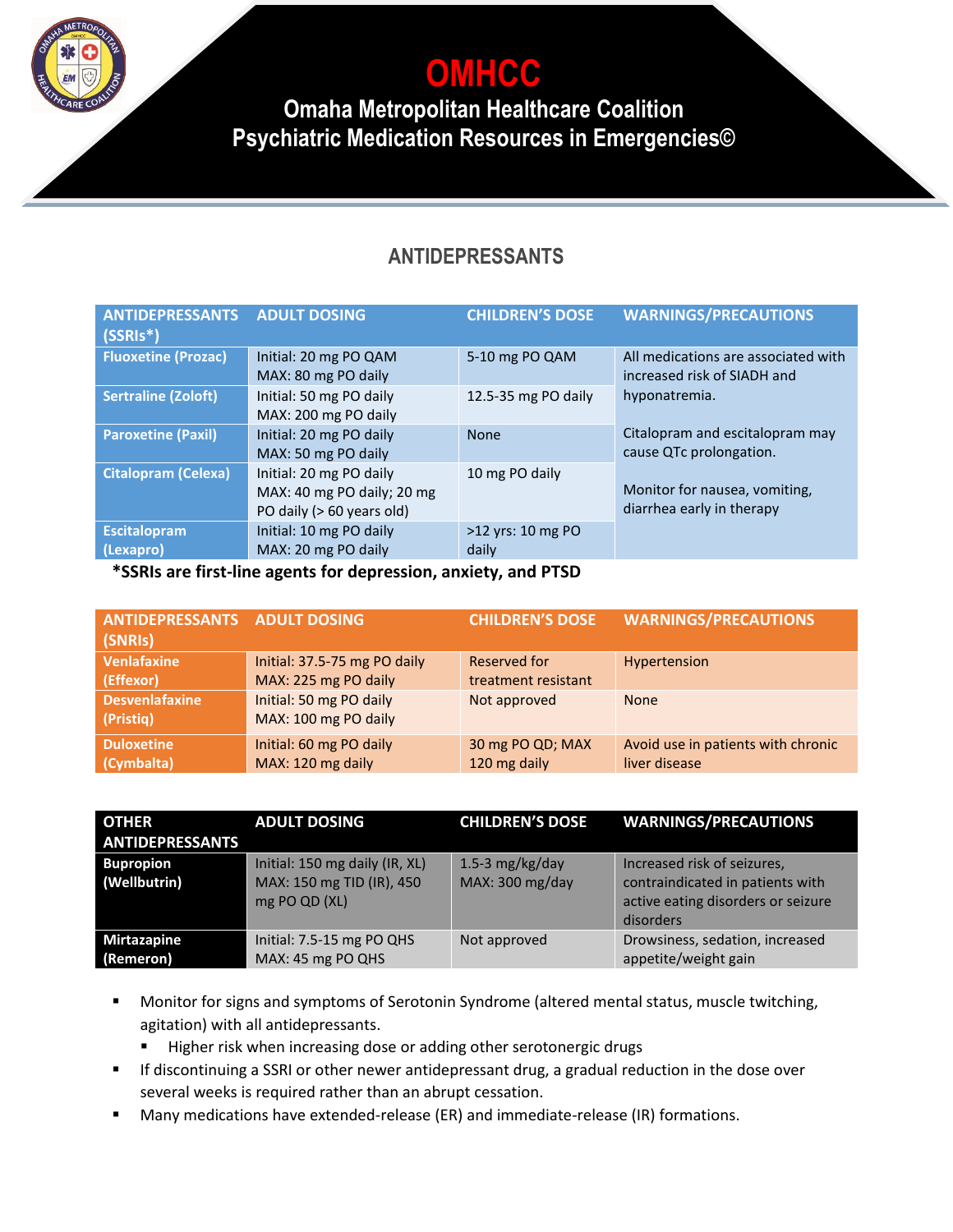**OMHCC**

**Omaha Metropolitan Healthcare Coalition Psychiatric Medication Resources in Emergencies©**

### **ANTIDEPRESSANTS**

| <b>ANTIDEPRESSANTS</b><br>$(SSRIs*)$ | <b>ADULT DOSING</b>                                                                | <b>CHILDREN'S DOSE</b>     | <b>WARNINGS/PRECAUTIONS</b>                                        |
|--------------------------------------|------------------------------------------------------------------------------------|----------------------------|--------------------------------------------------------------------|
| <b>Fluoxetine (Prozac)</b>           | Initial: 20 mg PO QAM<br>MAX: 80 mg PO daily                                       | 5-10 mg PO QAM             | All medications are associated with<br>increased risk of SIADH and |
| <b>Sertraline (Zoloft)</b>           | Initial: 50 mg PO daily<br>MAX: 200 mg PO daily                                    | 12.5-35 mg PO daily        | hyponatremia.                                                      |
| <b>Paroxetine (Paxil)</b>            | Initial: 20 mg PO daily<br>MAX: 50 mg PO daily                                     | <b>None</b>                | Citalopram and escitalopram may<br>cause QTc prolongation.         |
| <b>Citalopram (Celexa)</b>           | Initial: 20 mg PO daily<br>MAX: 40 mg PO daily; 20 mg<br>PO daily (> 60 years old) | 10 mg PO daily             | Monitor for nausea, vomiting,<br>diarrhea early in therapy         |
| <b>Escitalopram</b><br>(Lexapro)     | Initial: 10 mg PO daily<br>MAX: 20 mg PO daily                                     | >12 yrs: 10 mg PO<br>daily |                                                                    |

**\*SSRIs are first-line agents for depression, anxiety, and PTSD**

| <b>ANTIDEPRESSANTS ADULT DOSING</b><br>(SNRIs) |                              | <b>CHILDREN'S DOSE</b> | <b>WARNINGS/PRECAUTIONS</b>        |
|------------------------------------------------|------------------------------|------------------------|------------------------------------|
| <b>Venlafaxine</b>                             | Initial: 37.5-75 mg PO daily | Reserved for           | Hypertension                       |
| (Effexor)                                      | MAX: 225 mg PO daily         | treatment resistant    |                                    |
| <b>Desvenlafaxine</b>                          | Initial: 50 mg PO daily      | Not approved           | <b>None</b>                        |
| (Pristiq)                                      | MAX: 100 mg PO daily         |                        |                                    |
| <b>Duloxetine</b>                              | Initial: 60 mg PO daily      | 30 mg PO QD; MAX       | Avoid use in patients with chronic |
| (Cymbalta)                                     | MAX: 120 mg daily            | 120 mg daily           | liver disease                      |

| <b>OTHER</b><br><b>ANTIDEPRESSANTS</b> | <b>ADULT DOSING</b>                                                          | <b>CHILDREN'S DOSE</b>               | <b>WARNINGS/PRECAUTIONS</b>                                                                                        |
|----------------------------------------|------------------------------------------------------------------------------|--------------------------------------|--------------------------------------------------------------------------------------------------------------------|
| <b>Bupropion</b><br>(Wellbutrin)       | Initial: 150 mg daily (IR, XL)<br>MAX: 150 mg TID (IR), 450<br>mg PO QD (XL) | 1.5-3 $mg/kg/day$<br>MAX: 300 mg/day | Increased risk of seizures,<br>contraindicated in patients with<br>active eating disorders or seizure<br>disorders |
| <b>Mirtazapine</b><br>(Remeron)        | Initial: 7.5-15 mg PO QHS<br>MAX: 45 mg PO QHS                               | Not approved                         | Drowsiness, sedation, increased<br>appetite/weight gain                                                            |

- Monitor for signs and symptoms of Serotonin Syndrome (altered mental status, muscle twitching, agitation) with all antidepressants.
	- Higher risk when increasing dose or adding other serotonergic drugs
- If discontinuing a SSRI or other newer antidepressant drug, a gradual reduction in the dose over several weeks is required rather than an abrupt cessation.
- Many medications have extended-release (ER) and immediate-release (IR) formations.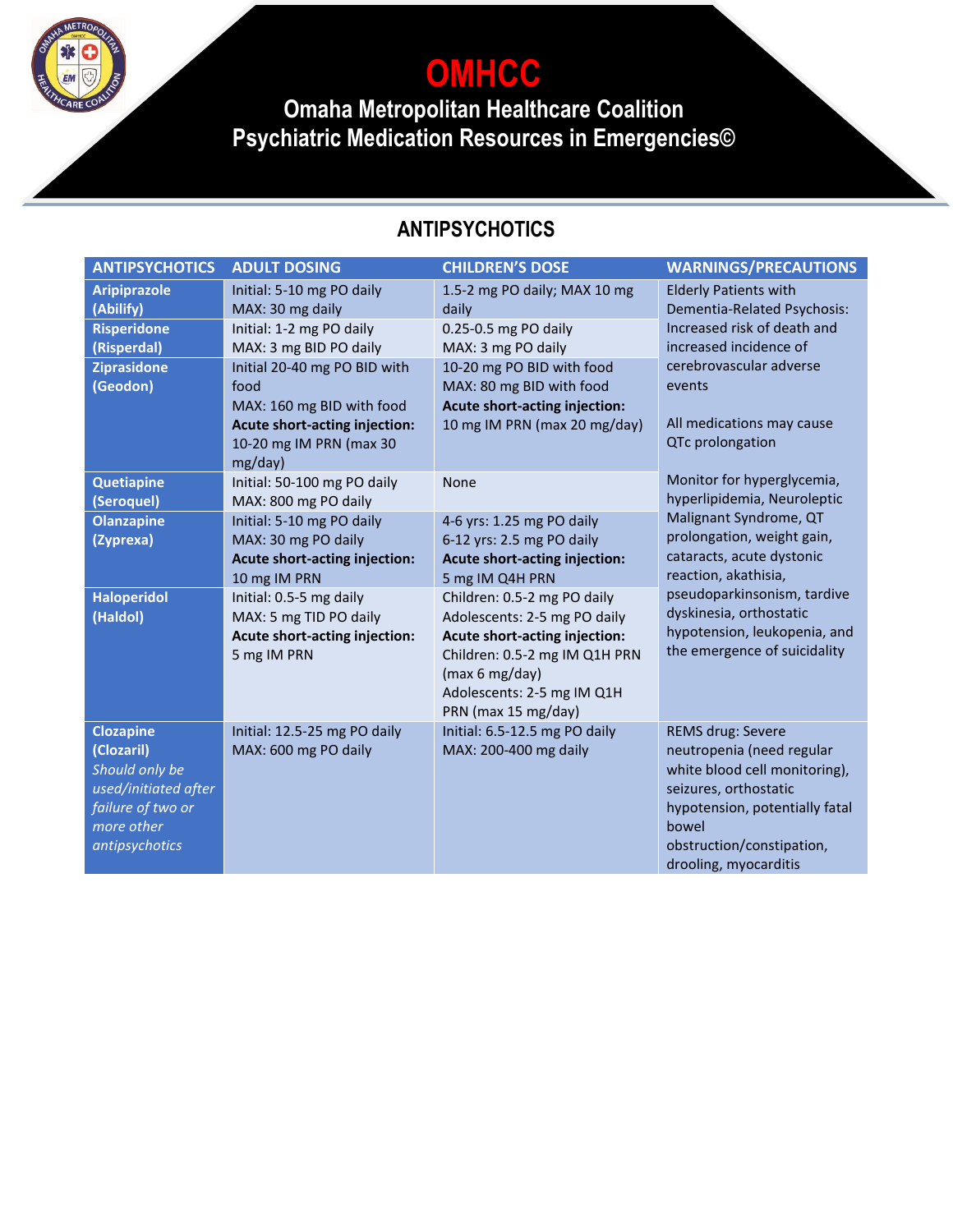**OMHCC**

**Omaha Metropolitan Healthcare Coalition Psychiatric Medication Resources in Emergencies©**

## **ANTIPSYCHOTICS**

| <b>ANTIPSYCHOTICS</b>           | <b>ADULT DOSING</b>                  | <b>CHILDREN'S DOSE</b>               | <b>WARNINGS/PRECAUTIONS</b>                             |
|---------------------------------|--------------------------------------|--------------------------------------|---------------------------------------------------------|
| <b>Aripiprazole</b>             | Initial: 5-10 mg PO daily            | 1.5-2 mg PO daily; MAX 10 mg         | <b>Elderly Patients with</b>                            |
| (Abilify)                       | MAX: 30 mg daily                     | daily                                | Dementia-Related Psychosis:                             |
| <b>Risperidone</b>              | Initial: 1-2 mg PO daily             | 0.25-0.5 mg PO daily                 | Increased risk of death and                             |
| (Risperdal)                     | MAX: 3 mg BID PO daily               | MAX: 3 mg PO daily                   | increased incidence of                                  |
| <b>Ziprasidone</b>              | Initial 20-40 mg PO BID with         | 10-20 mg PO BID with food            | cerebrovascular adverse                                 |
| (Geodon)                        | food                                 | MAX: 80 mg BID with food             | events                                                  |
|                                 | MAX: 160 mg BID with food            | <b>Acute short-acting injection:</b> |                                                         |
|                                 | Acute short-acting injection:        | 10 mg IM PRN (max 20 mg/day)         | All medications may cause                               |
|                                 | 10-20 mg IM PRN (max 30              |                                      | QTc prolongation                                        |
|                                 | mg/day)                              |                                      |                                                         |
| <b>Quetiapine</b>               | Initial: 50-100 mg PO daily          | None                                 | Monitor for hyperglycemia,                              |
| (Seroquel)                      | MAX: 800 mg PO daily                 |                                      | hyperlipidemia, Neuroleptic                             |
| <b>Olanzapine</b>               | Initial: 5-10 mg PO daily            | 4-6 yrs: 1.25 mg PO daily            | Malignant Syndrome, QT                                  |
| (Zyprexa)                       | MAX: 30 mg PO daily                  | 6-12 yrs: 2.5 mg PO daily            | prolongation, weight gain,                              |
|                                 | <b>Acute short-acting injection:</b> | <b>Acute short-acting injection:</b> | cataracts, acute dystonic                               |
|                                 | 10 mg IM PRN                         | 5 mg IM Q4H PRN                      | reaction, akathisia,                                    |
| <b>Haloperidol</b>              | Initial: 0.5-5 mg daily              | Children: 0.5-2 mg PO daily          | pseudoparkinsonism, tardive                             |
| (Haldol)                        | MAX: 5 mg TID PO daily               | Adolescents: 2-5 mg PO daily         | dyskinesia, orthostatic<br>hypotension, leukopenia, and |
|                                 | Acute short-acting injection:        | Acute short-acting injection:        | the emergence of suicidality                            |
|                                 | 5 mg IM PRN                          | Children: 0.5-2 mg IM Q1H PRN        |                                                         |
|                                 |                                      | (max 6 mg/day)                       |                                                         |
|                                 |                                      | Adolescents: 2-5 mg IM Q1H           |                                                         |
|                                 |                                      | PRN (max 15 mg/day)                  |                                                         |
| <b>Clozapine</b>                | Initial: 12.5-25 mg PO daily         | Initial: 6.5-12.5 mg PO daily        | REMS drug: Severe                                       |
| (Clozaril)                      | MAX: 600 mg PO daily                 | MAX: 200-400 mg daily                | neutropenia (need regular                               |
| Should only be                  |                                      |                                      | white blood cell monitoring),                           |
| used/initiated after            |                                      |                                      | seizures, orthostatic                                   |
| failure of two or<br>more other |                                      |                                      | hypotension, potentially fatal<br>bowel                 |
| antipsychotics                  |                                      |                                      | obstruction/constipation,                               |
|                                 |                                      |                                      |                                                         |
|                                 |                                      |                                      | drooling, myocarditis                                   |